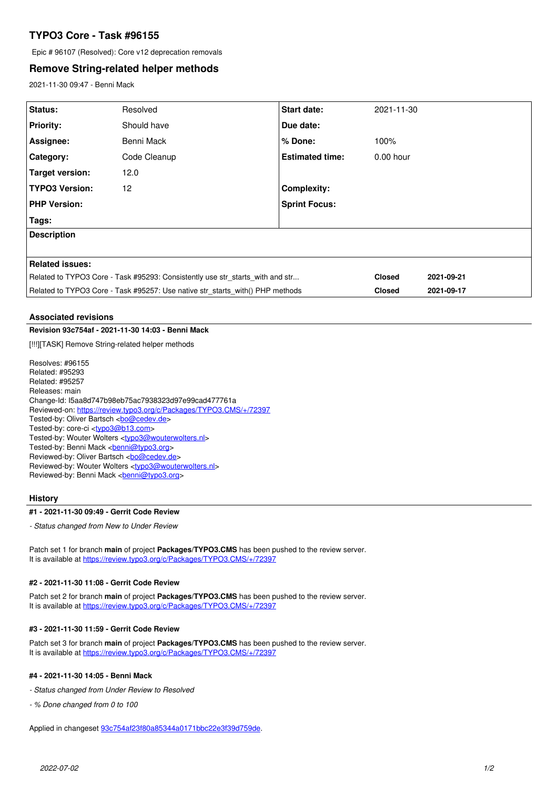# **TYPO3 Core - Task #96155**

Epic # 96107 (Resolved): Core v12 deprecation removals

## **Remove String-related helper methods**

2021-11-30 09:47 - Benni Mack

| Status:                                                                       | Resolved     | <b>Start date:</b>     | 2021-11-30    |            |
|-------------------------------------------------------------------------------|--------------|------------------------|---------------|------------|
| <b>Priority:</b>                                                              | Should have  | Due date:              |               |            |
| Assignee:                                                                     | Benni Mack   | $%$ Done:              | 100%          |            |
| Category:                                                                     | Code Cleanup | <b>Estimated time:</b> | $0.00$ hour   |            |
| Target version:                                                               | 12.0         |                        |               |            |
| <b>TYPO3 Version:</b>                                                         | 12           | <b>Complexity:</b>     |               |            |
| <b>PHP Version:</b>                                                           |              | <b>Sprint Focus:</b>   |               |            |
| Tags:                                                                         |              |                        |               |            |
| <b>Description</b>                                                            |              |                        |               |            |
|                                                                               |              |                        |               |            |
| Related issues:                                                               |              |                        |               |            |
| Related to TYPO3 Core - Task #95293: Consistently use str starts with and str |              |                        | <b>Closed</b> | 2021-09-21 |
| Related to TYPO3 Core - Task #95257: Use native str starts with() PHP methods |              |                        | <b>Closed</b> | 2021-09-17 |

### **Associated revisions**

## **Revision 93c754af - 2021-11-30 14:03 - Benni Mack**

[!!!][TASK] Remove String-related helper methods

Resolves: #96155 Related: #95293 Related: #95257 Releases: main Change-Id: I5aa8d747b98eb75ac7938323d97e99cad477761a Reviewed-on:<https://review.typo3.org/c/Packages/TYPO3.CMS/+/72397> Tested-by: Oliver Bartsch <br/> <br/> <br/> <br/>Condev.de> Tested-by: core-ci [<typo3@b13.com](mailto:typo3@b13.com)> Tested-by: Wouter Wolters [<typo3@wouterwolters.nl>](mailto:typo3@wouterwolters.nl) Tested-by: Benni Mack <[benni@typo3.org>](mailto:benni@typo3.org) Reviewed-by: Oliver Bartsch <br/> <br/><u>[bo@cedev.de](mailto:bo@cedev.de)</u>> Reviewed-by: Wouter Wolters <[typo3@wouterwolters.nl](mailto:typo3@wouterwolters.nl)> Reviewed-by: Benni Mack <br/>[benni@typo3.org>](mailto:benni@typo3.org)

#### **History**

#### **#1 - 2021-11-30 09:49 - Gerrit Code Review**

*- Status changed from New to Under Review*

Patch set 1 for branch **main** of project **Packages/TYPO3.CMS** has been pushed to the review server. It is available at <https://review.typo3.org/c/Packages/TYPO3.CMS/+/72397>

#### **#2 - 2021-11-30 11:08 - Gerrit Code Review**

Patch set 2 for branch **main** of project **Packages/TYPO3.CMS** has been pushed to the review server. It is available at <https://review.typo3.org/c/Packages/TYPO3.CMS/+/72397>

### **#3 - 2021-11-30 11:59 - Gerrit Code Review**

Patch set 3 for branch **main** of project **Packages/TYPO3.CMS** has been pushed to the review server. It is available at <https://review.typo3.org/c/Packages/TYPO3.CMS/+/72397>

### **#4 - 2021-11-30 14:05 - Benni Mack**

*- Status changed from Under Review to Resolved*

*- % Done changed from 0 to 100*

Applied in changeset [93c754af23f80a85344a0171bbc22e3f39d759de](https://forge.typo3.org/projects/typo3cms-core/repository/1749/revisions/93c754af23f80a85344a0171bbc22e3f39d759de).